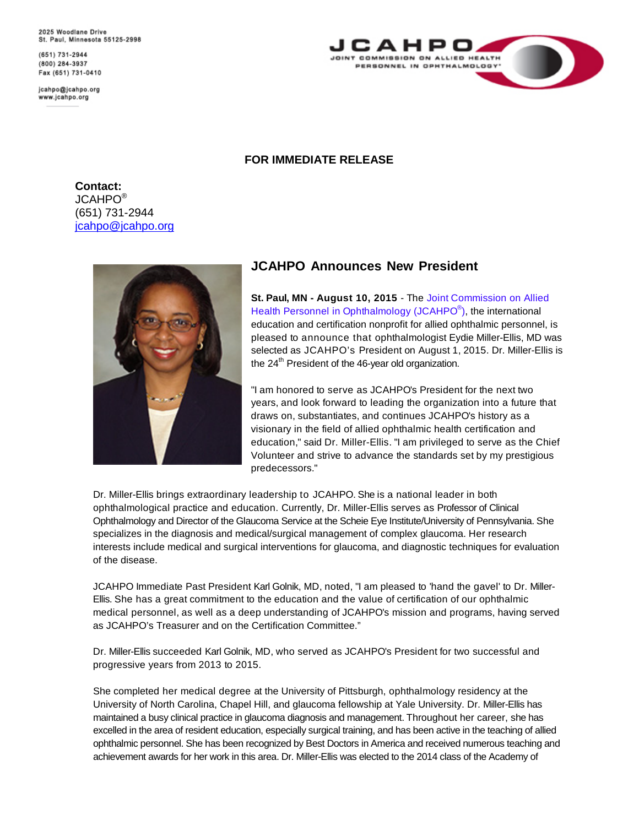2025 Woodlane Drive St. Paul, Minnesota 55125-2998

(651) 731-2944 (800) 284-3937 Fax (651) 731-0410

jcahpo@jcahpo.org www.jcahpo.org



## **FOR IMMEDIATE RELEASE**

**Contact:**  JCAHPO® (651) 731-2944 [jcahpo@jcahpo.org](mailto:jcahpo@jcahpo.org)



## **JCAHPO Announces New President**

**St. Paul, MN - [August 10, 2015](http://www.jcahpo.org/)** - The Joint Commission on Allied Health Personnel in Ophthalmology (JCAHPO<sup>®</sup>), the international [education and certification nonprofit for allied ophthalmic personnel, is](http://www.jcahpo.org/) pleased to [announce that ophthalmologist](http://www.jcahpo.org/) Eydie Miller-Ellis, MD was selected as [JCAHPO's](http://www.jcahpo.org/) President on August 1, 2015. Dr. Miller-Ellis is the 24<sup>th</sup> President of the 46-year old organization.

"I am honored to serve as JCAHPO's President for the next two years, and look forward to leading the organization into a future that draws on, substantiates, and continues JCAHPO's history as a visionary in the field of allied ophthalmic health certification and education," said Dr. Miller-Ellis. "I am privileged to serve as the Chief Volunteer and strive to advance the standards set by my prestigious predecessors."

Dr. Miller-Ellis brings extraordinary leadership to JCAHPO. She is a national leader in both ophthalmological practice and education. Currently, Dr. Miller-Ellis serves as Professor of Clinical Ophthalmology and Director of the Glaucoma Service at the Scheie Eye Institute/University of Pennsylvania. She specializes in the diagnosis and medical/surgical management of complex glaucoma. Her research interests include medical and surgical interventions for glaucoma, and diagnostic techniques for evaluation of the disease.

JCAHPO Immediate Past President Karl Golnik, MD, noted, "I am pleased to 'hand the gavel' to Dr. Miller-Ellis. She has a great commitment to the education and the value of certification of our ophthalmic medical personnel, as well as a deep understanding of JCAHPO's mission and programs, having served as JCAHPO's Treasurer and on the Certification Committee."

Dr. Miller-Ellis succeeded Karl Golnik, MD, who served as JCAHPO's President for two successful and progressive years from 2013 to 2015.

She completed her medical degree at the University of Pittsburgh, ophthalmology residency at the University of North Carolina, Chapel Hill, and glaucoma fellowship at Yale University. Dr. Miller-Ellis has maintained a busy clinical practice in glaucoma diagnosis and management. Throughout her career, she has excelled in the area of resident education, especially surgical training, and has been active in the teaching of allied ophthalmic personnel. She has been recognized by Best Doctors in America and received numerous teaching and achievement awards for her work in this area. Dr. Miller-Ellis was elected to the 2014 class of the Academy of